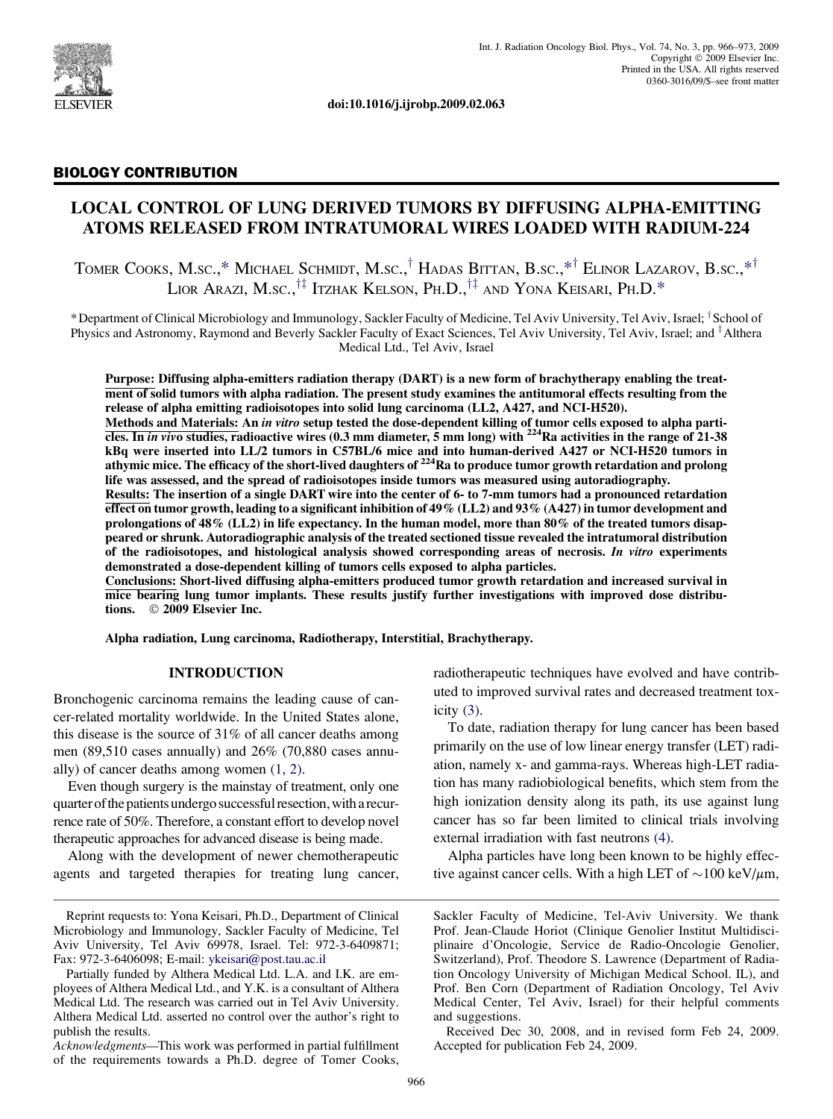

doi:10.1016/j.ijrobp.2009.02.063

### BIOLOGY CONTRIBUTION

# LOCAL CONTROL OF LUNG DERIVED TUMORS BY DIFFUSING ALPHA-EMITTING ATOMS RELEASED FROM INTRATUMORAL WIRES LOADED WITH RADIUM-224

TOMER COOKS, M.SC.,\* MICHAEL SCHMIDT, M.SC.,<sup>†</sup> HADAS BITTAN, B.SC.,\*<sup>†</sup> ELINOR LAZAROV, B.SC.,\*<sup>†</sup> LIOR ARAZI, M.SC.,  $^{\dagger\ddagger}$  Itzhak Kelson, Ph.D.,  $^{\dagger\ddagger}$  and Yona Keisari, Ph.D.\*

\*Department of Clinical Microbiology and Immunology, Sackler Faculty of Medicine, Tel Aviv University, Tel Aviv, Israel; <sup>†</sup>School of Physics and Astronomy, Raymond and Beverly Sackler Faculty of Exact Sciences, Tel Aviv University, Tel Aviv, Israel; and <sup>‡</sup>Althera Medical Ltd., Tel Aviv, Israel

Purpose: Diffusing alpha-emitters radiation therapy (DART) is a new form of brachytherapy enabling the treatment of solid tumors with alpha radiation. The present study examines the antitumoral effects resulting from the release of alpha emitting radioisotopes into solid lung carcinoma (LL2, A427, and NCI-H520).

Methods and Materials: An in vitro setup tested the dose-dependent killing of tumor cells exposed to alpha particles. In *in vivo* studies, radioactive wires  $(0.3 \text{ mm diameter}, 5 \text{ mm long})$  with <sup>224</sup>Ra activities in the range of 21-38 kBq were inserted into LL/2 tumors in C57BL/6 mice and into human-derived A427 or NCI-H520 tumors in athymic mice. The efficacy of the short-lived daughters of  $^{224}$ Ra to produce tumor growth retardation and prolong life was assessed, and the spread of radioisotopes inside tumors was measured using autoradiography.

Results: The insertion of a single DART wire into the center of 6- to 7-mm tumors had a pronounced retardation effect on tumor growth, leading to a significant inhibition of 49% (LL2) and 93% (A427) in tumor development and prolongations of 48% (LL2) in life expectancy. In the human model, more than 80% of the treated tumors disappeared or shrunk. Autoradiographic analysis of the treated sectioned tissue revealed the intratumoral distribution of the radioisotopes, and histological analysis showed corresponding areas of necrosis. In vitro experiments demonstrated a dose-dependent killing of tumors cells exposed to alpha particles.

Conclusions: Short-lived diffusing alpha-emitters produced tumor growth retardation and increased survival in mice bearing lung tumor implants. These results justify further investigations with improved dose distributions. © 2009 Elsevier Inc.

Alpha radiation, Lung carcinoma, Radiotherapy, Interstitial, Brachytherapy.

### INTRODUCTION

Bronchogenic carcinoma remains the leading cause of cancer-related mortality worldwide. In the United States alone, this disease is the source of 31% of all cancer deaths among men (89,510 cases annually) and 26% (70,880 cases annually) of cancer deaths among women [\(1, 2\).](#page-7-0)

Even though surgery is the mainstay of treatment, only one quarter ofthe patients undergo successful resection,with a recurrence rate of 50%. Therefore, a constant effort to develop novel therapeutic approaches for advanced disease is being made.

Along with the development of newer chemotherapeutic agents and targeted therapies for treating lung cancer,

Acknowledgments—This work was performed in partial fulfillment of the requirements towards a Ph.D. degree of Tomer Cooks,

radiotherapeutic techniques have evolved and have contributed to improved survival rates and decreased treatment toxicity [\(3\).](#page-7-0)

To date, radiation therapy for lung cancer has been based primarily on the use of low linear energy transfer (LET) radiation, namely x- and gamma-rays. Whereas high-LET radiation has many radiobiological benefits, which stem from the high ionization density along its path, its use against lung cancer has so far been limited to clinical trials involving external irradiation with fast neutrons [\(4\).](#page-7-0)

Alpha particles have long been known to be highly effective against cancer cells. With a high LET of  $\sim$ 100 keV/ $\mu$ m,

Received Dec 30, 2008, and in revised form Feb 24, 2009. Accepted for publication Feb 24, 2009.

Reprint requests to: Yona Keisari, Ph.D., Department of Clinical Microbiology and Immunology, Sackler Faculty of Medicine, Tel Aviv University, Tel Aviv 69978, Israel. Tel: 972-3-6409871; Fax: 972-3-6406098; E-mail: [ykeisari@post.tau.ac.il](mailto:ykeisari@post.tau.ac.il)

Partially funded by Althera Medical Ltd. L.A. and I.K. are employees of Althera Medical Ltd., and Y.K. is a consultant of Althera Medical Ltd. The research was carried out in Tel Aviv University. Althera Medical Ltd. asserted no control over the author's right to publish the results.

Sackler Faculty of Medicine, Tel-Aviv University. We thank Prof. Jean-Claude Horiot (Clinique Genolier Institut Multidisciplinaire d'Oncologie, Service de Radio-Oncologie Genolier, Switzerland), Prof. Theodore S. Lawrence (Department of Radiation Oncology University of Michigan Medical School. IL), and Prof. Ben Corn (Department of Radiation Oncology, Tel Aviv Medical Center, Tel Aviv, Israel) for their helpful comments and suggestions.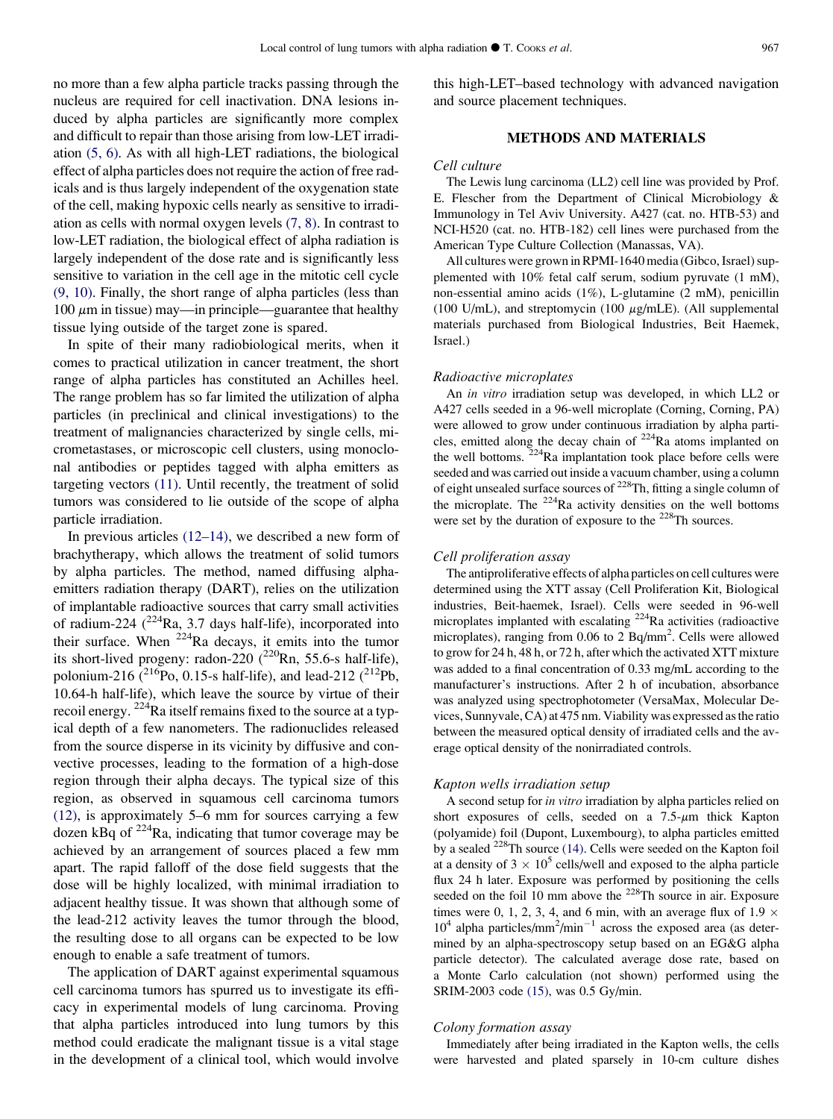no more than a few alpha particle tracks passing through the nucleus are required for cell inactivation. DNA lesions induced by alpha particles are significantly more complex and difficult to repair than those arising from low-LET irradiation [\(5, 6\).](#page-7-0) As with all high-LET radiations, the biological effect of alpha particles does not require the action of free radicals and is thus largely independent of the oxygenation state of the cell, making hypoxic cells nearly as sensitive to irradiation as cells with normal oxygen levels [\(7, 8\)](#page-7-0). In contrast to low-LET radiation, the biological effect of alpha radiation is largely independent of the dose rate and is significantly less sensitive to variation in the cell age in the mitotic cell cycle [\(9, 10\).](#page-7-0) Finally, the short range of alpha particles (less than 100  $\mu$ m in tissue) may—in principle—guarantee that healthy tissue lying outside of the target zone is spared.

In spite of their many radiobiological merits, when it comes to practical utilization in cancer treatment, the short range of alpha particles has constituted an Achilles heel. The range problem has so far limited the utilization of alpha particles (in preclinical and clinical investigations) to the treatment of malignancies characterized by single cells, micrometastases, or microscopic cell clusters, using monoclonal antibodies or peptides tagged with alpha emitters as targeting vectors [\(11\)](#page-7-0). Until recently, the treatment of solid tumors was considered to lie outside of the scope of alpha particle irradiation.

In previous articles [\(12–14\),](#page-7-0) we described a new form of brachytherapy, which allows the treatment of solid tumors by alpha particles. The method, named diffusing alphaemitters radiation therapy (DART), relies on the utilization of implantable radioactive sources that carry small activities of radium-224  $(^{224}$ Ra, 3.7 days half-life), incorporated into their surface. When  $224$ Ra decays, it emits into the tumor its short-lived progeny: radon-220  $(^{220}$ Rn, 55.6-s half-life), polonium-216 ( $^{216}$ Po, 0.15-s half-life), and lead-212 ( $^{212}$ Pb, 10.64-h half-life), which leave the source by virtue of their recoil energy. 224Ra itself remains fixed to the source at a typical depth of a few nanometers. The radionuclides released from the source disperse in its vicinity by diffusive and convective processes, leading to the formation of a high-dose region through their alpha decays. The typical size of this region, as observed in squamous cell carcinoma tumors [\(12\)](#page-7-0), is approximately 5–6 mm for sources carrying a few dozen kBq of  $2^{24}$ Ra, indicating that tumor coverage may be achieved by an arrangement of sources placed a few mm apart. The rapid falloff of the dose field suggests that the dose will be highly localized, with minimal irradiation to adjacent healthy tissue. It was shown that although some of the lead-212 activity leaves the tumor through the blood, the resulting dose to all organs can be expected to be low enough to enable a safe treatment of tumors.

The application of DART against experimental squamous cell carcinoma tumors has spurred us to investigate its efficacy in experimental models of lung carcinoma. Proving that alpha particles introduced into lung tumors by this method could eradicate the malignant tissue is a vital stage in the development of a clinical tool, which would involve this high-LET–based technology with advanced navigation and source placement techniques.

### METHODS AND MATERIALS

### Cell culture

The Lewis lung carcinoma (LL2) cell line was provided by Prof. E. Flescher from the Department of Clinical Microbiology & Immunology in Tel Aviv University. A427 (cat. no. HTB-53) and NCI-H520 (cat. no. HTB-182) cell lines were purchased from the American Type Culture Collection (Manassas, VA).

All cultures were grown in RPMI-1640 media (Gibco, Israel) supplemented with 10% fetal calf serum, sodium pyruvate (1 mM), non-essential amino acids (1%), L-glutamine (2 mM), penicillin (100 U/mL), and streptomycin (100  $\mu$ g/mLE). (All supplemental materials purchased from Biological Industries, Beit Haemek, Israel.)

#### Radioactive microplates

An in vitro irradiation setup was developed, in which LL2 or A427 cells seeded in a 96-well microplate (Corning, Corning, PA) were allowed to grow under continuous irradiation by alpha particles, emitted along the decay chain of <sup>224</sup>Ra atoms implanted on the well bottoms.  $2^{24}$ Ra implantation took place before cells were seeded and was carried out inside a vacuum chamber, using a column of eight unsealed surface sources of 228Th, fitting a single column of the microplate. The  $^{224}$ Ra activity densities on the well bottoms were set by the duration of exposure to the <sup>228</sup>Th sources.

#### Cell proliferation assay

The antiproliferative effects of alpha particles on cell cultures were determined using the XTT assay (Cell Proliferation Kit, Biological industries, Beit-haemek, Israel). Cells were seeded in 96-well microplates implanted with escalating 224Ra activities (radioactive microplates), ranging from 0.06 to 2 Bq/mm<sup>2</sup>. Cells were allowed to grow for 24 h, 48 h, or 72 h, after which the activated XTT mixture was added to a final concentration of 0.33 mg/mL according to the manufacturer's instructions. After 2 h of incubation, absorbance was analyzed using spectrophotometer (VersaMax, Molecular Devices, Sunnyvale, CA) at 475 nm. Viability was expressed as the ratio between the measured optical density of irradiated cells and the average optical density of the nonirradiated controls.

#### Kapton wells irradiation setup

A second setup for in vitro irradiation by alpha particles relied on short exposures of cells, seeded on a  $7.5-\mu m$  thick Kapton (polyamide) foil (Dupont, Luxembourg), to alpha particles emitted by a sealed 228Th source [\(14\).](#page-7-0) Cells were seeded on the Kapton foil at a density of  $3 \times 10^5$  cells/well and exposed to the alpha particle flux 24 h later. Exposure was performed by positioning the cells seeded on the foil 10 mm above the  $228$ Th source in air. Exposure times were 0, 1, 2, 3, 4, and 6 min, with an average flux of 1.9  $\times$  $10^4$  alpha particles/mm<sup>2</sup>/min<sup>-1</sup> across the exposed area (as determined by an alpha-spectroscopy setup based on an EG&G alpha particle detector). The calculated average dose rate, based on a Monte Carlo calculation (not shown) performed using the SRIM-2003 code [\(15\),](#page-7-0) was 0.5 Gy/min.

### Colony formation assay

Immediately after being irradiated in the Kapton wells, the cells were harvested and plated sparsely in 10-cm culture dishes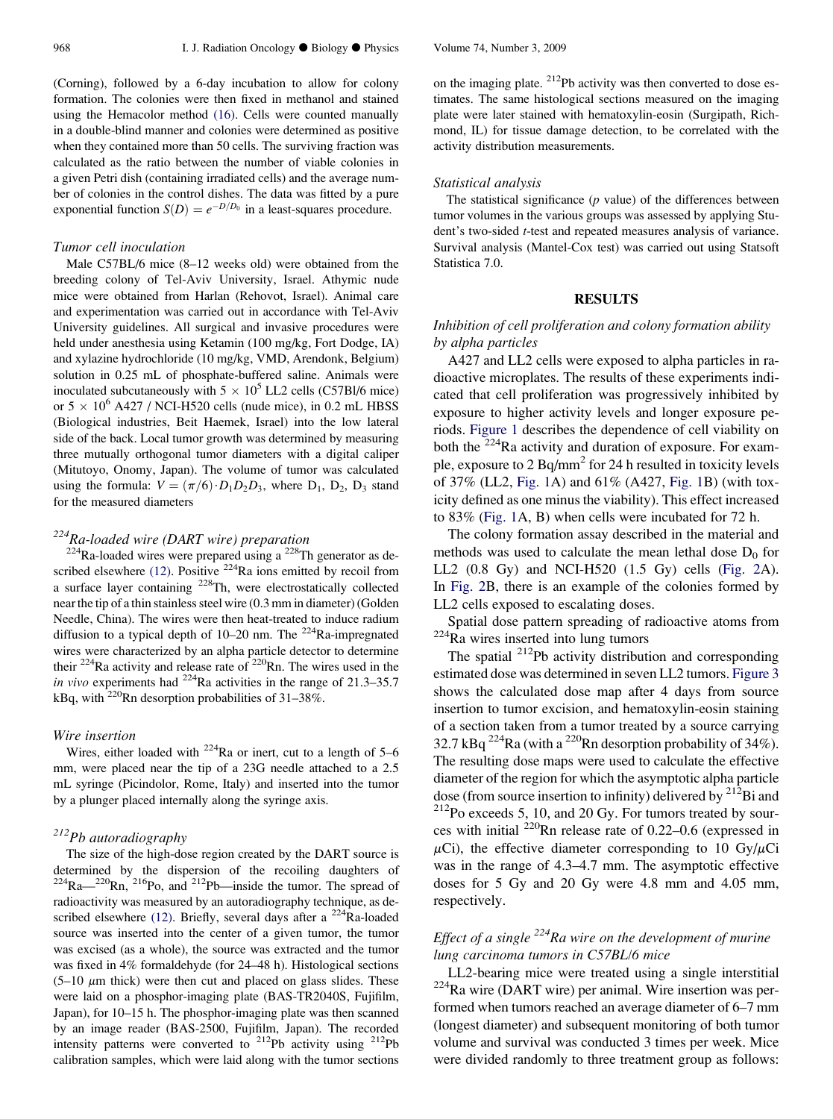(Corning), followed by a 6-day incubation to allow for colony formation. The colonies were then fixed in methanol and stained using the Hemacolor method [\(16\).](#page-7-0) Cells were counted manually in a double-blind manner and colonies were determined as positive when they contained more than 50 cells. The surviving fraction was calculated as the ratio between the number of viable colonies in a given Petri dish (containing irradiated cells) and the average number of colonies in the control dishes. The data was fitted by a pure exponential function  $S(D) = e^{-D/D_0}$  in a least-squares procedure.

### Tumor cell inoculation

Male C57BL/6 mice (8–12 weeks old) were obtained from the breeding colony of Tel-Aviv University, Israel. Athymic nude mice were obtained from Harlan (Rehovot, Israel). Animal care and experimentation was carried out in accordance with Tel-Aviv University guidelines. All surgical and invasive procedures were held under anesthesia using Ketamin (100 mg/kg, Fort Dodge, IA) and xylazine hydrochloride (10 mg/kg, VMD, Arendonk, Belgium) solution in 0.25 mL of phosphate-buffered saline. Animals were inoculated subcutaneously with  $5 \times 10^5$  LL2 cells (C57Bl/6 mice) or  $5 \times 10^6$  A427 / NCI-H520 cells (nude mice), in 0.2 mL HBSS (Biological industries, Beit Haemek, Israel) into the low lateral side of the back. Local tumor growth was determined by measuring three mutually orthogonal tumor diameters with a digital caliper (Mitutoyo, Onomy, Japan). The volume of tumor was calculated using the formula:  $V = (\pi/6) \cdot D_1 D_2 D_3$ , where  $D_1$ ,  $D_2$ ,  $D_3$  stand for the measured diameters

## $224$ Ra-loaded wire (DART wire) preparation

 $224$ Ra-loaded wires were prepared using a  $228$ Th generator as de-scribed elsewhere [\(12\)](#page-7-0). Positive  $2^{24}$ Ra ions emitted by recoil from a surface layer containing 228Th, were electrostatically collected near the tip of a thin stainless steel wire (0.3 mm in diameter) (Golden Needle, China). The wires were then heat-treated to induce radium diffusion to a typical depth of 10–20 nm. The 224Ra-impregnated wires were characterized by an alpha particle detector to determine their  $^{224}$ Ra activity and release rate of  $^{220}$ Rn. The wires used in the in vivo experiments had  $^{224}$ Ra activities in the range of 21.3–35.7 kBq, with  $^{220}$ Rn desorption probabilities of 31–38%.

### Wire insertion

Wires, either loaded with  $224$ Ra or inert, cut to a length of 5–6 mm, were placed near the tip of a 23G needle attached to a 2.5 mL syringe (Picindolor, Rome, Italy) and inserted into the tumor by a plunger placed internally along the syringe axis.

## 212Pb autoradiography

The size of the high-dose region created by the DART source is determined by the dispersion of the recoiling daughters of  $224Ra$ <sup>220</sup>Rn,  $216P_0$ , and  $212P_0$  inside the tumor. The spread of radioactivity was measured by an autoradiography technique, as de-scribed elsewhere [\(12\)](#page-7-0). Briefly, several days after a  $^{224}$ Ra-loaded source was inserted into the center of a given tumor, the tumor was excised (as a whole), the source was extracted and the tumor was fixed in 4% formaldehyde (for 24–48 h). Histological sections  $(5-10 \mu m)$  thick) were then cut and placed on glass slides. These were laid on a phosphor-imaging plate (BAS-TR2040S, Fujifilm, Japan), for 10–15 h. The phosphor-imaging plate was then scanned by an image reader (BAS-2500, Fujifilm, Japan). The recorded intensity patterns were converted to 212Pb activity using 212Pb calibration samples, which were laid along with the tumor sections on the imaging plate. <sup>212</sup>Pb activity was then converted to dose estimates. The same histological sections measured on the imaging plate were later stained with hematoxylin-eosin (Surgipath, Richmond, IL) for tissue damage detection, to be correlated with the activity distribution measurements.

#### Statistical analysis

The statistical significance  $(p \text{ value})$  of the differences between tumor volumes in the various groups was assessed by applying Student's two-sided t-test and repeated measures analysis of variance. Survival analysis (Mantel-Cox test) was carried out using Statsoft Statistica 7.0.

### RESULTS

## Inhibition of cell proliferation and colony formation ability by alpha particles

A427 and LL2 cells were exposed to alpha particles in radioactive microplates. The results of these experiments indicated that cell proliferation was progressively inhibited by exposure to higher activity levels and longer exposure periods. [Figure 1](#page-3-0) describes the dependence of cell viability on both the  $^{224}$ Ra activity and duration of exposure. For example, exposure to 2 Bq/mm<sup>2</sup> for 24 h resulted in toxicity levels of 37% (LL2, [Fig. 1](#page-3-0)A) and 61% (A427, [Fig. 1B](#page-3-0)) (with toxicity defined as one minus the viability). This effect increased to 83% ([Fig. 1](#page-3-0)A, B) when cells were incubated for 72 h.

The colony formation assay described in the material and methods was used to calculate the mean lethal dose  $D_0$  for LL2 (0.8 Gy) and NCI-H520 (1.5 Gy) cells [\(Fig. 2](#page-4-0)A). In [Fig. 2](#page-4-0)B, there is an example of the colonies formed by LL2 cells exposed to escalating doses.

Spatial dose pattern spreading of radioactive atoms from 224Ra wires inserted into lung tumors

The spatial <sup>212</sup>Pb activity distribution and corresponding estimated dose was determined in seven LL2 tumors. [Figure 3](#page-5-0) shows the calculated dose map after 4 days from source insertion to tumor excision, and hematoxylin-eosin staining of a section taken from a tumor treated by a source carrying 32.7 kBq  $^{224}$ Ra (with a  $^{220}$ Rn desorption probability of 34%). The resulting dose maps were used to calculate the effective diameter of the region for which the asymptotic alpha particle dose (from source insertion to infinity) delivered by  $^{212}$ Bi and  $^{212}$ Po exceeds 5, 10, and 20 Gy. For tumors treated by sources with initial  $^{220}$ Rn release rate of 0.22–0.6 (expressed in  $\mu$ Ci), the effective diameter corresponding to 10 Gy/ $\mu$ Ci was in the range of 4.3–4.7 mm. The asymptotic effective doses for 5 Gy and 20 Gy were 4.8 mm and 4.05 mm, respectively.

## Effect of a single  $^{224}$ Ra wire on the development of murine lung carcinoma tumors in C57BL/6 mice

LL2-bearing mice were treated using a single interstitial 224Ra wire (DART wire) per animal. Wire insertion was performed when tumors reached an average diameter of 6–7 mm (longest diameter) and subsequent monitoring of both tumor volume and survival was conducted 3 times per week. Mice were divided randomly to three treatment group as follows: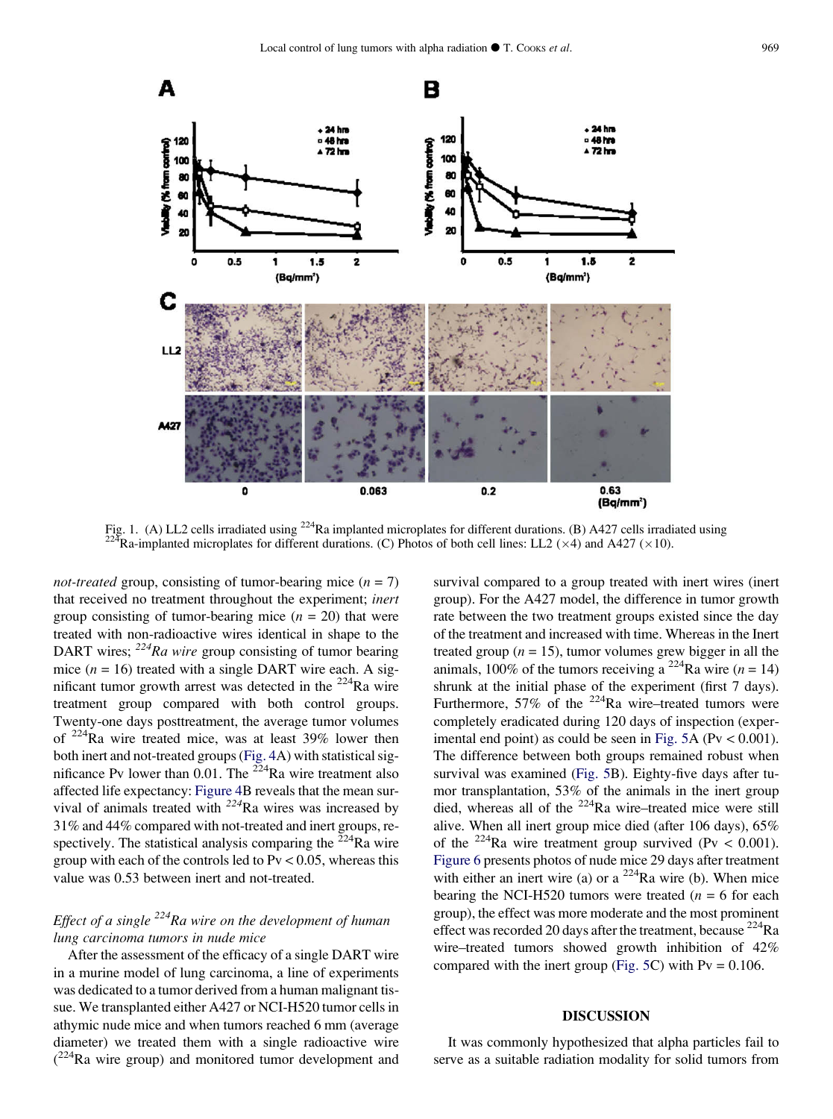<span id="page-3-0"></span>

Fig. 1. (A) LL2 cells irradiated using <sup>224</sup>Ra implanted microplates for different durations. (B) A427 cells irradiated using <sup>224</sup>Ra-implanted microplates for different durations. (C) Photos of both cell lines: LL2 (×4)

*not-treated* group, consisting of tumor-bearing mice  $(n = 7)$ that received no treatment throughout the experiment; inert group consisting of tumor-bearing mice  $(n = 20)$  that were treated with non-radioactive wires identical in shape to the DART wires;  $^{224}Ra$  wire group consisting of tumor bearing mice ( $n = 16$ ) treated with a single DART wire each. A significant tumor growth arrest was detected in the  $^{224}$ Ra wire treatment group compared with both control groups. Twenty-one days posttreatment, the average tumor volumes of 224Ra wire treated mice, was at least 39% lower then both inert and not-treated groups ([Fig. 4](#page-5-0)A) with statistical significance Pv lower than  $0.01$ . The <sup>224</sup>Ra wire treatment also affected life expectancy: [Figure 4B](#page-5-0) reveals that the mean survival of animals treated with  $224$ Ra wires was increased by 31% and 44% compared with not-treated and inert groups, respectively. The statistical analysis comparing the  $2^{24}$ Ra wire group with each of the controls led to  $Pv < 0.05$ , whereas this value was 0.53 between inert and not-treated.

## Effect of a single  $^{224}$ Ra wire on the development of human lung carcinoma tumors in nude mice

After the assessment of the efficacy of a single DART wire in a murine model of lung carcinoma, a line of experiments was dedicated to a tumor derived from a human malignant tissue. We transplanted either A427 or NCI-H520 tumor cells in athymic nude mice and when tumors reached 6 mm (average diameter) we treated them with a single radioactive wire  $(^{224}$ Ra wire group) and monitored tumor development and survival compared to a group treated with inert wires (inert group). For the A427 model, the difference in tumor growth rate between the two treatment groups existed since the day of the treatment and increased with time. Whereas in the Inert treated group ( $n = 15$ ), tumor volumes grew bigger in all the animals, 100% of the tumors receiving a <sup>224</sup>Ra wire ( $n = 14$ ) shrunk at the initial phase of the experiment (first 7 days). Furthermore, 57% of the  $^{224}$ Ra wire–treated tumors were completely eradicated during 120 days of inspection (exper-imental end point) as could be seen in [Fig. 5A](#page-6-0) ( $Pv < 0.001$ ). The difference between both groups remained robust when survival was examined [\(Fig. 5](#page-6-0)B). Eighty-five days after tumor transplantation, 53% of the animals in the inert group died, whereas all of the 224Ra wire–treated mice were still alive. When all inert group mice died (after 106 days), 65% of the <sup>224</sup>Ra wire treatment group survived (Pv  $< 0.001$ ). [Figure 6](#page-6-0) presents photos of nude mice 29 days after treatment with either an inert wire (a) or a  $^{224}$ Ra wire (b). When mice bearing the NCI-H520 tumors were treated ( $n = 6$  for each group), the effect was more moderate and the most prominent effect was recorded 20 days after the treatment, because  $^{224}$ Ra wire–treated tumors showed growth inhibition of 42% compared with the inert group [\(Fig. 5C](#page-6-0)) with  $Pv = 0.106$ .

### DISCUSSION

It was commonly hypothesized that alpha particles fail to serve as a suitable radiation modality for solid tumors from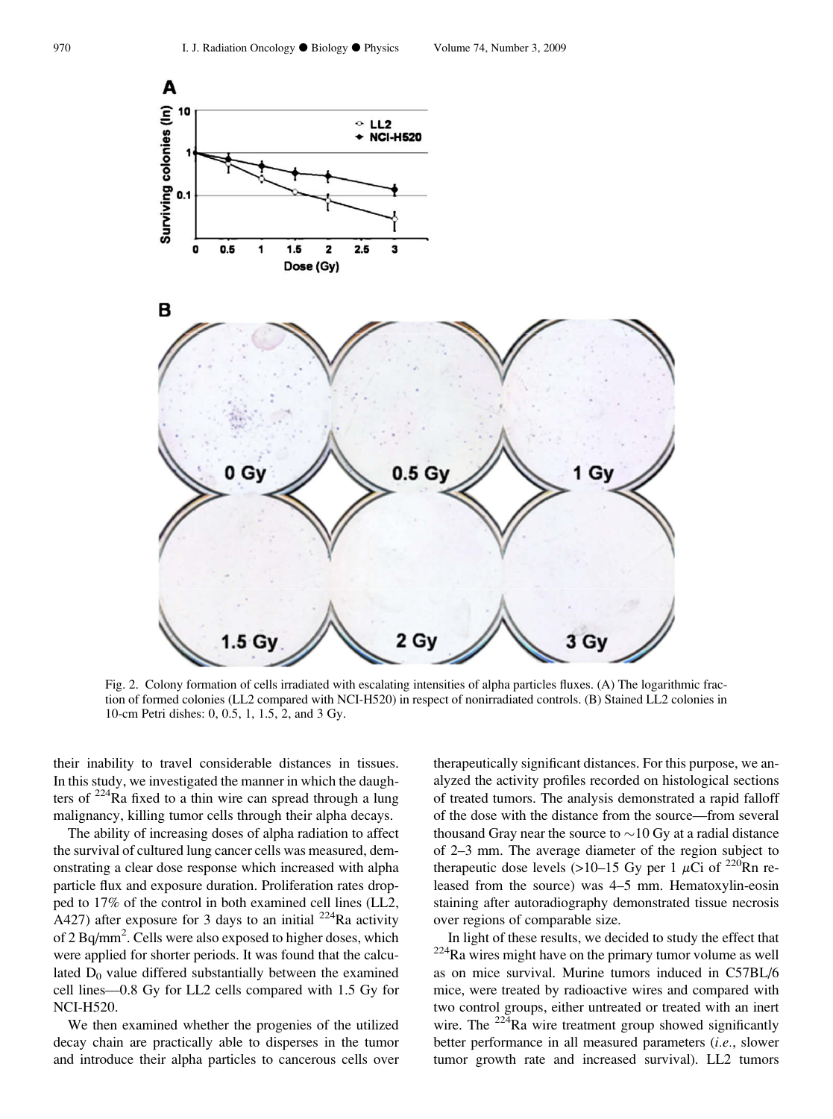<span id="page-4-0"></span>

Fig. 2. Colony formation of cells irradiated with escalating intensities of alpha particles fluxes. (A) The logarithmic fraction of formed colonies (LL2 compared with NCI-H520) in respect of nonirradiated controls. (B) Stained LL2 colonies in 10-cm Petri dishes: 0, 0.5, 1, 1.5, 2, and 3 Gy.

their inability to travel considerable distances in tissues. In this study, we investigated the manner in which the daughters of  $224$ Ra fixed to a thin wire can spread through a lung malignancy, killing tumor cells through their alpha decays.

The ability of increasing doses of alpha radiation to affect the survival of cultured lung cancer cells was measured, demonstrating a clear dose response which increased with alpha particle flux and exposure duration. Proliferation rates dropped to 17% of the control in both examined cell lines (LL2, A427) after exposure for 3 days to an initial  $^{224}$ Ra activity of 2 Bq/mm<sup>2</sup>. Cells were also exposed to higher doses, which were applied for shorter periods. It was found that the calculated  $D_0$  value differed substantially between the examined cell lines—0.8 Gy for LL2 cells compared with 1.5 Gy for NCI-H520.

We then examined whether the progenies of the utilized decay chain are practically able to disperses in the tumor and introduce their alpha particles to cancerous cells over therapeutically significant distances. For this purpose, we analyzed the activity profiles recorded on histological sections of treated tumors. The analysis demonstrated a rapid falloff of the dose with the distance from the source—from several thousand Gray near the source to  ${\sim}10\,\text{Gy}$  at a radial distance of 2–3 mm. The average diameter of the region subject to therapeutic dose levels (>10–15 Gy per 1  $\mu$ Ci of <sup>220</sup>Rn released from the source) was 4–5 mm. Hematoxylin-eosin staining after autoradiography demonstrated tissue necrosis over regions of comparable size.

In light of these results, we decided to study the effect that <sup>224</sup>Ra wires might have on the primary tumor volume as well as on mice survival. Murine tumors induced in C57BL/6 mice, were treated by radioactive wires and compared with two control groups, either untreated or treated with an inert wire. The  $224$ Ra wire treatment group showed significantly better performance in all measured parameters (i.e., slower tumor growth rate and increased survival). LL2 tumors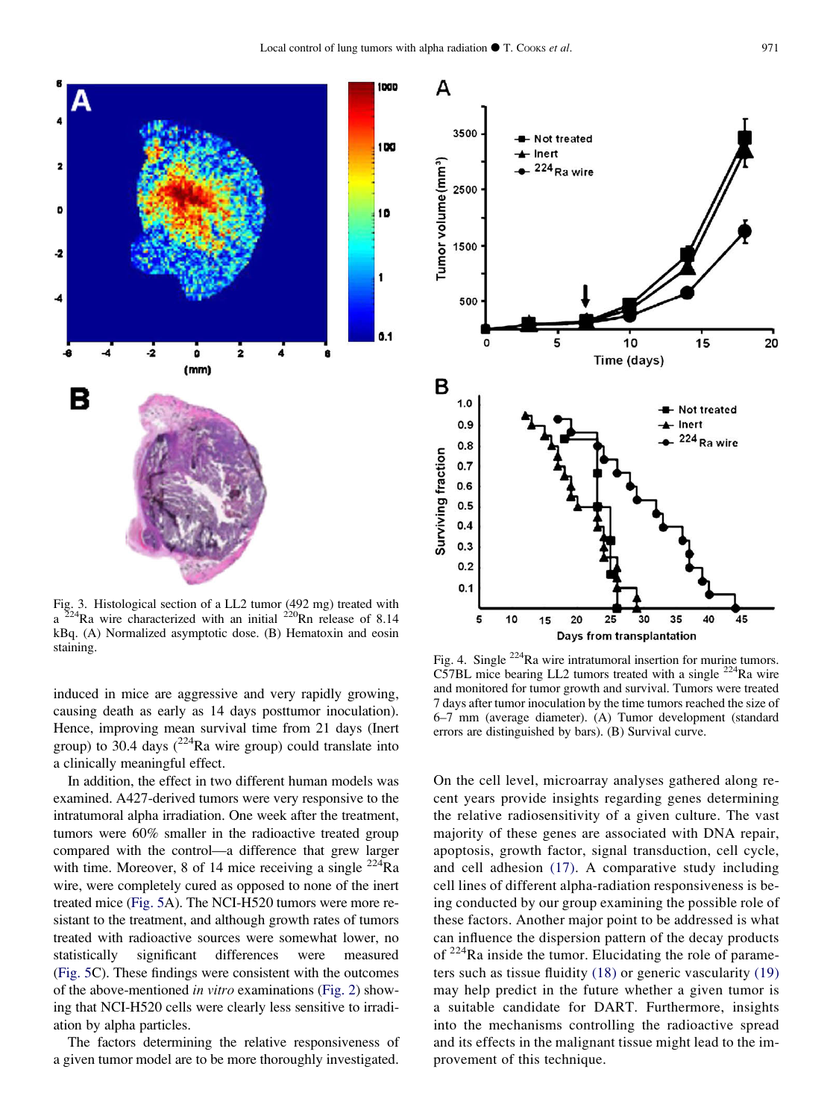<span id="page-5-0"></span>

Fig. 3. Histological section of a LL2 tumor (492 mg) treated with  $a^{224}Ra$  wire characterized with an initial  $^{220}Rn$  release of 8.14 kBq. (A) Normalized asymptotic dose. (B) Hematoxin and eosin staining.

induced in mice are aggressive and very rapidly growing, causing death as early as 14 days posttumor inoculation). Hence, improving mean survival time from 21 days (Inert group) to 30.4 days  $(^{224}$ Ra wire group) could translate into a clinically meaningful effect.

In addition, the effect in two different human models was examined. A427-derived tumors were very responsive to the intratumoral alpha irradiation. One week after the treatment, tumors were 60% smaller in the radioactive treated group compared with the control—a difference that grew larger with time. Moreover, 8 of 14 mice receiving a single  $^{224}$ Ra wire, were completely cured as opposed to none of the inert treated mice ([Fig. 5A](#page-6-0)). The NCI-H520 tumors were more resistant to the treatment, and although growth rates of tumors treated with radioactive sources were somewhat lower, no statistically significant differences were measured [\(Fig. 5](#page-6-0)C). These findings were consistent with the outcomes of the above-mentioned in vitro examinations [\(Fig. 2](#page-4-0)) showing that NCI-H520 cells were clearly less sensitive to irradiation by alpha particles.

The factors determining the relative responsiveness of a given tumor model are to be more thoroughly investigated.



Fig. 4. Single <sup>224</sup>Ra wire intratumoral insertion for murine tumors. C57BL mice bearing LL2 tumors treated with a single  $^{224}$ Ra wire and monitored for tumor growth and survival. Tumors were treated 7 days after tumor inoculation by the time tumors reached the size of 6–7 mm (average diameter). (A) Tumor development (standard errors are distinguished by bars). (B) Survival curve.

On the cell level, microarray analyses gathered along recent years provide insights regarding genes determining the relative radiosensitivity of a given culture. The vast majority of these genes are associated with DNA repair, apoptosis, growth factor, signal transduction, cell cycle, and cell adhesion [\(17\).](#page-7-0) A comparative study including cell lines of different alpha-radiation responsiveness is being conducted by our group examining the possible role of these factors. Another major point to be addressed is what can influence the dispersion pattern of the decay products of  $224$ Ra inside the tumor. Elucidating the role of parameters such as tissue fluidity [\(18\)](#page-7-0) or generic vascularity [\(19\)](#page-7-0) may help predict in the future whether a given tumor is a suitable candidate for DART. Furthermore, insights into the mechanisms controlling the radioactive spread and its effects in the malignant tissue might lead to the improvement of this technique.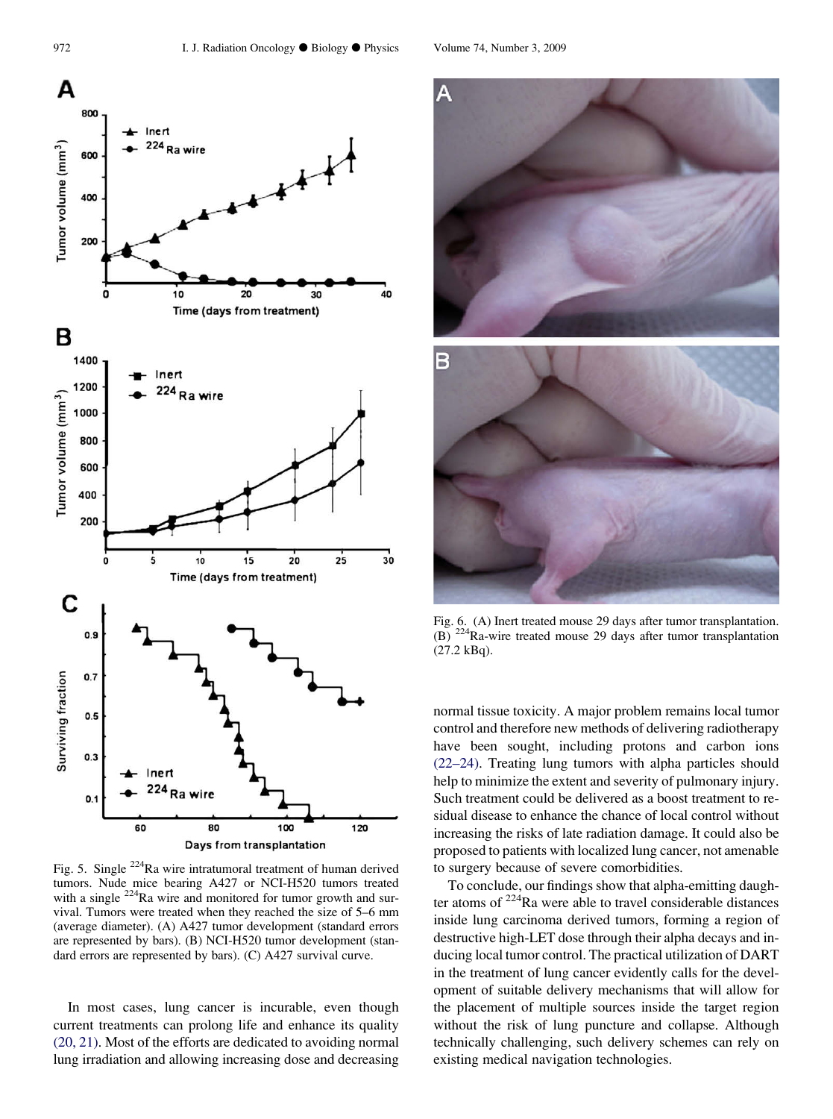<span id="page-6-0"></span>

Fig. 5. Single 224Ra wire intratumoral treatment of human derived tumors. Nude mice bearing A427 or NCI-H520 tumors treated with a single <sup>224</sup>Ra wire and monitored for tumor growth and survival. Tumors were treated when they reached the size of 5–6 mm (average diameter). (A) A427 tumor development (standard errors are represented by bars). (B) NCI-H520 tumor development (standard errors are represented by bars). (C) A427 survival curve.

In most cases, lung cancer is incurable, even though current treatments can prolong life and enhance its quality [\(20, 21\).](#page-7-0) Most of the efforts are dedicated to avoiding normal lung irradiation and allowing increasing dose and decreasing



Fig. 6. (A) Inert treated mouse 29 days after tumor transplantation. (B) 224Ra-wire treated mouse 29 days after tumor transplantation (27.2 kBq).

normal tissue toxicity. A major problem remains local tumor control and therefore new methods of delivering radiotherapy have been sought, including protons and carbon ions [\(22–24\)](#page-7-0). Treating lung tumors with alpha particles should help to minimize the extent and severity of pulmonary injury. Such treatment could be delivered as a boost treatment to residual disease to enhance the chance of local control without increasing the risks of late radiation damage. It could also be proposed to patients with localized lung cancer, not amenable to surgery because of severe comorbidities.

To conclude, our findings show that alpha-emitting daughter atoms of 224Ra were able to travel considerable distances inside lung carcinoma derived tumors, forming a region of destructive high-LET dose through their alpha decays and inducing local tumor control. The practical utilization of DART in the treatment of lung cancer evidently calls for the development of suitable delivery mechanisms that will allow for the placement of multiple sources inside the target region without the risk of lung puncture and collapse. Although technically challenging, such delivery schemes can rely on existing medical navigation technologies.